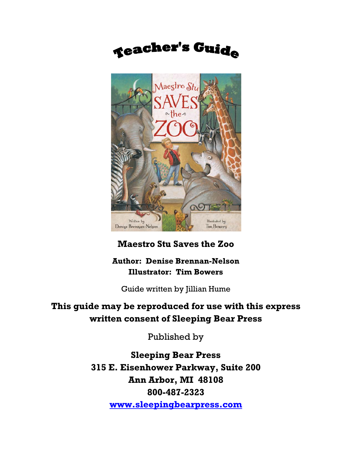



### **Author: Denise Brennan-Nelson Illustrator: Tim Bowers**

Guide written by Jillian Hume

### **This guide may be reproduced for use with this express written consent of Sleeping Bear Press**

Published by

**Sleeping Bear Press 315 E. Eisenhower Parkway, Suite 200 Ann Arbor, MI 48108 800-487-2323 [www.sleepingbearpress.com](http://www.sleepingbearpress.com/)**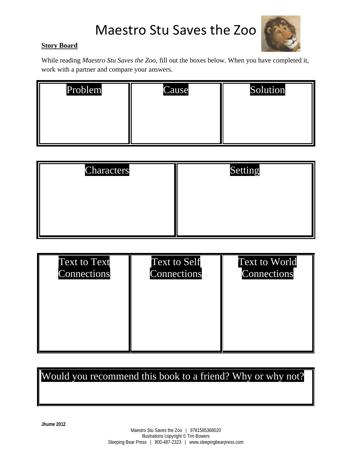

### **Story Board**

While reading *Maestro Stu Saves the Zoo,* fill out the boxes below. When you have completed it, work with a partner and compare your answers.

| Problem | Cause | Solution |
|---------|-------|----------|
|         |       |          |
|         |       |          |

| <b>Characters</b> | Setting |
|-------------------|---------|
|                   |         |
|                   |         |
|                   |         |
|                   |         |

| <b>Text to Text</b> | <b>Text to Self</b> | <b>Text to World</b> |
|---------------------|---------------------|----------------------|
| Connections         | Connections         | Connections          |
|                     |                     |                      |

### Would you recommend this book to a friend? Why or why not?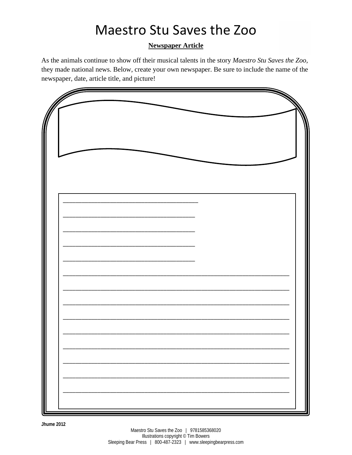#### **Newspaper Article**

As the animals continue to show off their musical talents in the story Maestro Stu Saves the Zoo, they made national news. Below, create your own newspaper. Be sure to include the name of the newspaper, date, article title, and picture!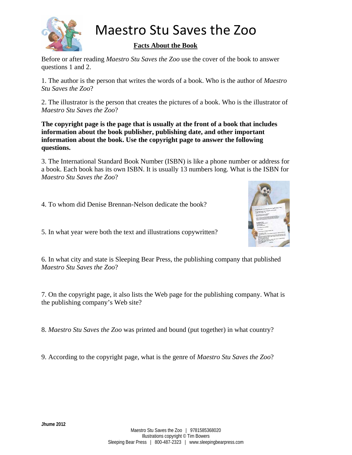

### **Facts About the Book**

Before or after reading *Maestro Stu Saves the Zoo* use the cover of the book to answer questions 1 and 2.

1. The author is the person that writes the words of a book. Who is the author of *Maestro Stu Saves the Zoo*?

2. The illustrator is the person that creates the pictures of a book. Who is the illustrator of *Maestro Stu Saves the Zoo*?

**The copyright page is the page that is usually at the front of a book that includes information about the book publisher, publishing date, and other important information about the book. Use the copyright page to answer the following questions.** 

3. The International Standard Book Number (ISBN) is like a phone number or address for a book. Each book has its own ISBN. It is usually 13 numbers long. What is the ISBN for *Maestro Stu Saves the Zoo*?

4. To whom did Denise Brennan-Nelson dedicate the book?

5. In what year were both the text and illustrations copywritten?



6. In what city and state is Sleeping Bear Press, the publishing company that published *Maestro Stu Saves the Zoo*?

7. On the copyright page, it also lists the Web page for the publishing company. What is the publishing company's Web site?

8. *Maestro Stu Saves the Zoo* was printed and bound (put together) in what country?

9. According to the copyright page, what is the genre of *Maestro Stu Saves the Zoo*?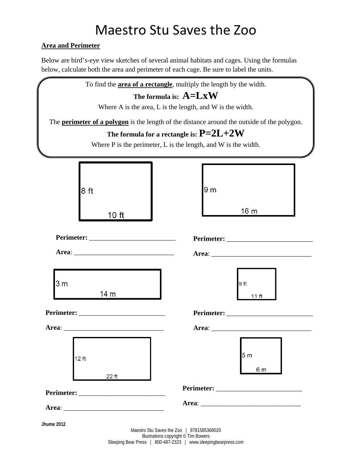### **Area and Perimeter**

Below are bird's-eye view sketches of several animal habitats and cages. Using the formulas below, calculate both the area and perimeter of each cage. Be sure to label the units.

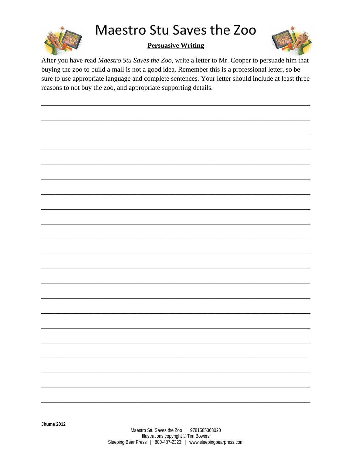

### **Persuasive Writing**



After you have read *Maestro Stu Saves the Zoo*, write a letter to Mr. Cooper to persuade him that buying the zoo to build a mall is not a good idea. Remember this is a professional letter, so be sure to use appropriate language and complete sentences. Your letter should include at least three reasons to not buy the zoo, and appropriate supporting details.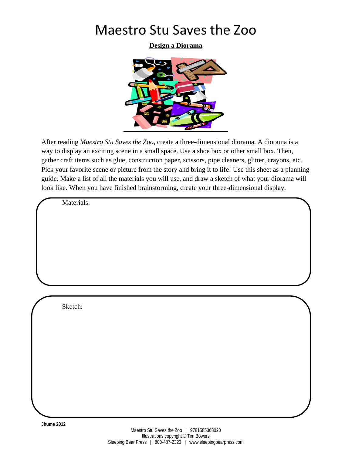**Design a Diorama**



After reading *Maestro Stu Saves the Zoo*, create a three-dimensional diorama. A diorama is a way to display an exciting scene in a small space. Use a shoe box or other small box. Then, gather craft items such as glue, construction paper, scissors, pipe cleaners, glitter, crayons, etc. Pick your favorite scene or picture from the story and bring it to life! Use this sheet as a planning guide. Make a list of all the materials you will use, and draw a sketch of what your diorama will look like. When you have finished brainstorming, create your three-dimensional display.

Materials:

Sketch: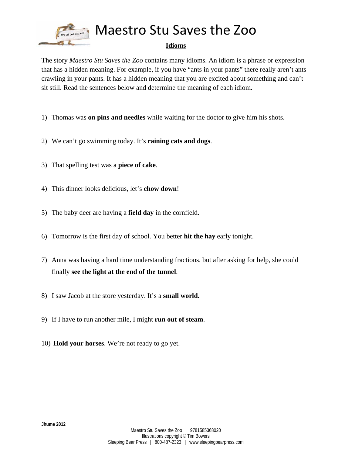#### **Idioms**

The story *Maestro Stu Saves the Zoo* contains many idioms. An idiom is a phrase or expression that has a hidden meaning. For example, if you have "ants in your pants" there really aren't ants crawling in your pants. It has a hidden meaning that you are excited about something and can't sit still. Read the sentences below and determine the meaning of each idiom.

- 1) Thomas was **on pins and needles** while waiting for the doctor to give him his shots.
- 2) We can't go swimming today. It's **raining cats and dogs**.
- 3) That spelling test was a **piece of cake**.
- 4) This dinner looks delicious, let's **chow down**!
- 5) The baby deer are having a **field day** in the cornfield.
- 6) Tomorrow is the first day of school. You better **hit the hay** early tonight.
- 7) Anna was having a hard time understanding fractions, but after asking for help, she could finally **see the light at the end of the tunnel**.
- 8) I saw Jacob at the store yesterday. It's a **small world.**
- 9) If I have to run another mile, I might **run out of steam**.
- 10) **Hold your horses**. We're not ready to go yet.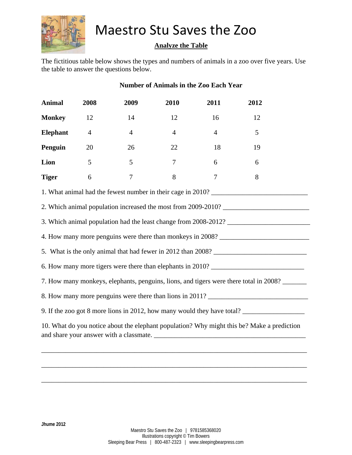

### **Analyze the Table**

The fictitious table below shows the types and numbers of animals in a zoo over five years. Use the table to answer the questions below.

| <b>Number of Animals in the Zoo Each Year</b> |                |                |                |                |                                                                                            |  |
|-----------------------------------------------|----------------|----------------|----------------|----------------|--------------------------------------------------------------------------------------------|--|
| <b>Animal</b>                                 | 2008           | 2009           | 2010           | 2011           | 2012                                                                                       |  |
| <b>Monkey</b>                                 | 12             | 14             | 12             | 16             | 12                                                                                         |  |
| <b>Elephant</b>                               | $\overline{4}$ | $\overline{4}$ | $\overline{4}$ | $\overline{4}$ | 5                                                                                          |  |
| Penguin                                       | 20             | 26             | 22             | 18             | 19                                                                                         |  |
| Lion                                          | 5              | 5              | $\overline{7}$ | 6              | 6                                                                                          |  |
| <b>Tiger</b>                                  | 6              | $\overline{7}$ | 8              | $\overline{7}$ | 8                                                                                          |  |
|                                               |                |                |                |                | 1. What animal had the fewest number in their cage in 2010?                                |  |
|                                               |                |                |                |                |                                                                                            |  |
|                                               |                |                |                |                | 3. Which animal population had the least change from 2008-2012?                            |  |
|                                               |                |                |                |                | 4. How many more penguins were there than monkeys in 2008? ______________________          |  |
|                                               |                |                |                |                | 5. What is the only animal that had fewer in 2012 than 2008?                               |  |
|                                               |                |                |                |                |                                                                                            |  |
|                                               |                |                |                |                | 7. How many monkeys, elephants, penguins, lions, and tigers were there total in 2008?      |  |
|                                               |                |                |                |                |                                                                                            |  |
|                                               |                |                |                |                | 9. If the zoo got 8 more lions in 2012, how many would they have total?                    |  |
|                                               |                |                |                |                | 10. What do you notice about the elephant population? Why might this be? Make a prediction |  |
|                                               |                |                |                |                |                                                                                            |  |

\_\_\_\_\_\_\_\_\_\_\_\_\_\_\_\_\_\_\_\_\_\_\_\_\_\_\_\_\_\_\_\_\_\_\_\_\_\_\_\_\_\_\_\_\_\_\_\_\_\_\_\_\_\_\_\_\_\_\_\_\_\_\_\_\_\_\_\_\_\_\_\_\_\_\_\_\_

\_\_\_\_\_\_\_\_\_\_\_\_\_\_\_\_\_\_\_\_\_\_\_\_\_\_\_\_\_\_\_\_\_\_\_\_\_\_\_\_\_\_\_\_\_\_\_\_\_\_\_\_\_\_\_\_\_\_\_\_\_\_\_\_\_\_\_\_\_\_\_\_\_\_\_\_\_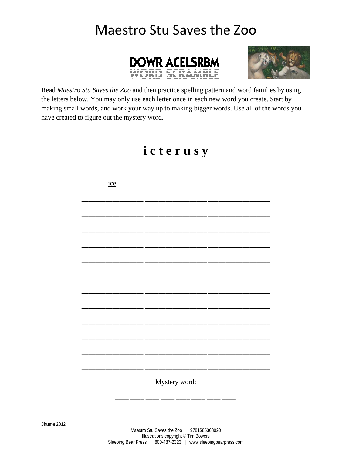



Read *Maestro Stu Saves the Zoo* and then practice spelling pattern and word families by using the letters below. You may only use each letter once in each new word you create. Start by making small words, and work your way up to making bigger words. Use all of the words you have created to figure out the mystery word.

### **i c t e r u s y**

| <u>ice</u> |               |  |
|------------|---------------|--|
|            |               |  |
|            |               |  |
|            |               |  |
|            |               |  |
|            |               |  |
|            |               |  |
|            |               |  |
|            |               |  |
|            |               |  |
|            |               |  |
|            |               |  |
|            |               |  |
|            |               |  |
|            |               |  |
|            |               |  |
|            |               |  |
|            |               |  |
|            |               |  |
|            |               |  |
|            |               |  |
|            |               |  |
|            |               |  |
|            |               |  |
|            |               |  |
|            |               |  |
|            |               |  |
|            | Mystery word: |  |
|            |               |  |
|            |               |  |
|            |               |  |
|            |               |  |
|            |               |  |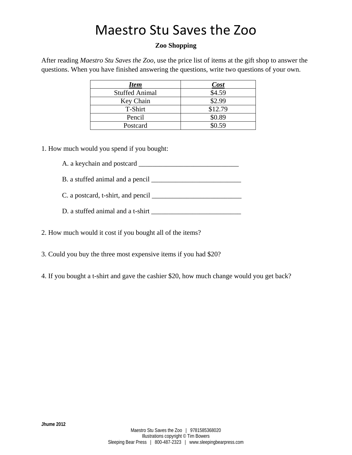### **Zoo Shopping**

After reading *Maestro Stu Saves the Zoo*, use the price list of items at the gift shop to answer the questions. When you have finished answering the questions, write two questions of your own.

| <b>Item</b>           | <b>Cost</b> |
|-----------------------|-------------|
| <b>Stuffed Animal</b> | \$4.59      |
| Key Chain             | \$2.99      |
| T-Shirt               | \$12.79     |
| Pencil                | \$0.89      |
| Postcard              | \$0.59      |

1. How much would you spend if you bought:

A. a keychain and postcard \_\_\_\_\_\_\_\_\_\_\_\_\_\_\_\_\_\_\_\_\_\_\_\_\_\_\_\_\_

B. a stuffed animal and a pencil \_\_\_\_\_\_\_\_\_\_\_\_\_\_\_\_\_\_\_\_\_\_\_\_\_\_

C. a postcard, t-shirt, and pencil \_\_\_\_\_\_\_\_\_\_\_\_\_\_\_\_\_\_\_\_\_\_\_\_\_\_

D. a stuffed animal and a t-shirt

- 2. How much would it cost if you bought all of the items?
- 3. Could you buy the three most expensive items if you had \$20?
- 4. If you bought a t-shirt and gave the cashier \$20, how much change would you get back?